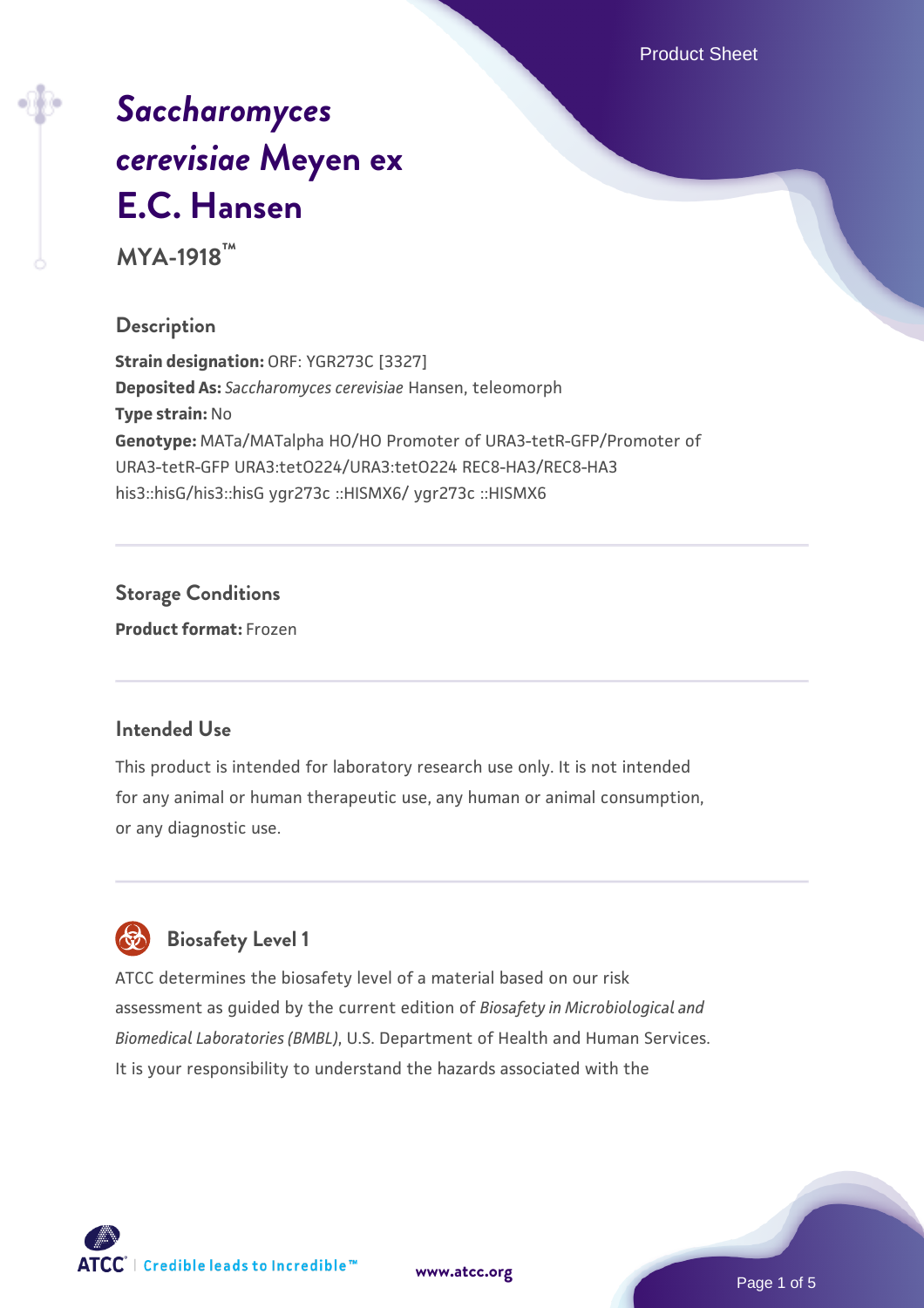Product Sheet

# *[Saccharomyces](https://www.atcc.org/products/mya-1918) [cerevisiae](https://www.atcc.org/products/mya-1918)* **[Meyen ex](https://www.atcc.org/products/mya-1918) [E.C. Hansen](https://www.atcc.org/products/mya-1918)**

**MYA-1918™**

### **Description**

**Strain designation:** ORF: YGR273C [3327] **Deposited As:** *Saccharomyces cerevisiae* Hansen, teleomorph **Type strain:** No **Genotype:** MATa/MATalpha HO/HO Promoter of URA3-tetR-GFP/Promoter of URA3-tetR-GFP URA3:tetO224/URA3:tetO224 REC8-HA3/REC8-HA3 his3::hisG/his3::hisG ygr273c ::HISMX6/ ygr273c ::HISMX6

### **Storage Conditions**

**Product format:** Frozen

#### **Intended Use**

This product is intended for laboratory research use only. It is not intended for any animal or human therapeutic use, any human or animal consumption, or any diagnostic use.



## **Biosafety Level 1**

ATCC determines the biosafety level of a material based on our risk assessment as guided by the current edition of *Biosafety in Microbiological and Biomedical Laboratories (BMBL)*, U.S. Department of Health and Human Services. It is your responsibility to understand the hazards associated with the

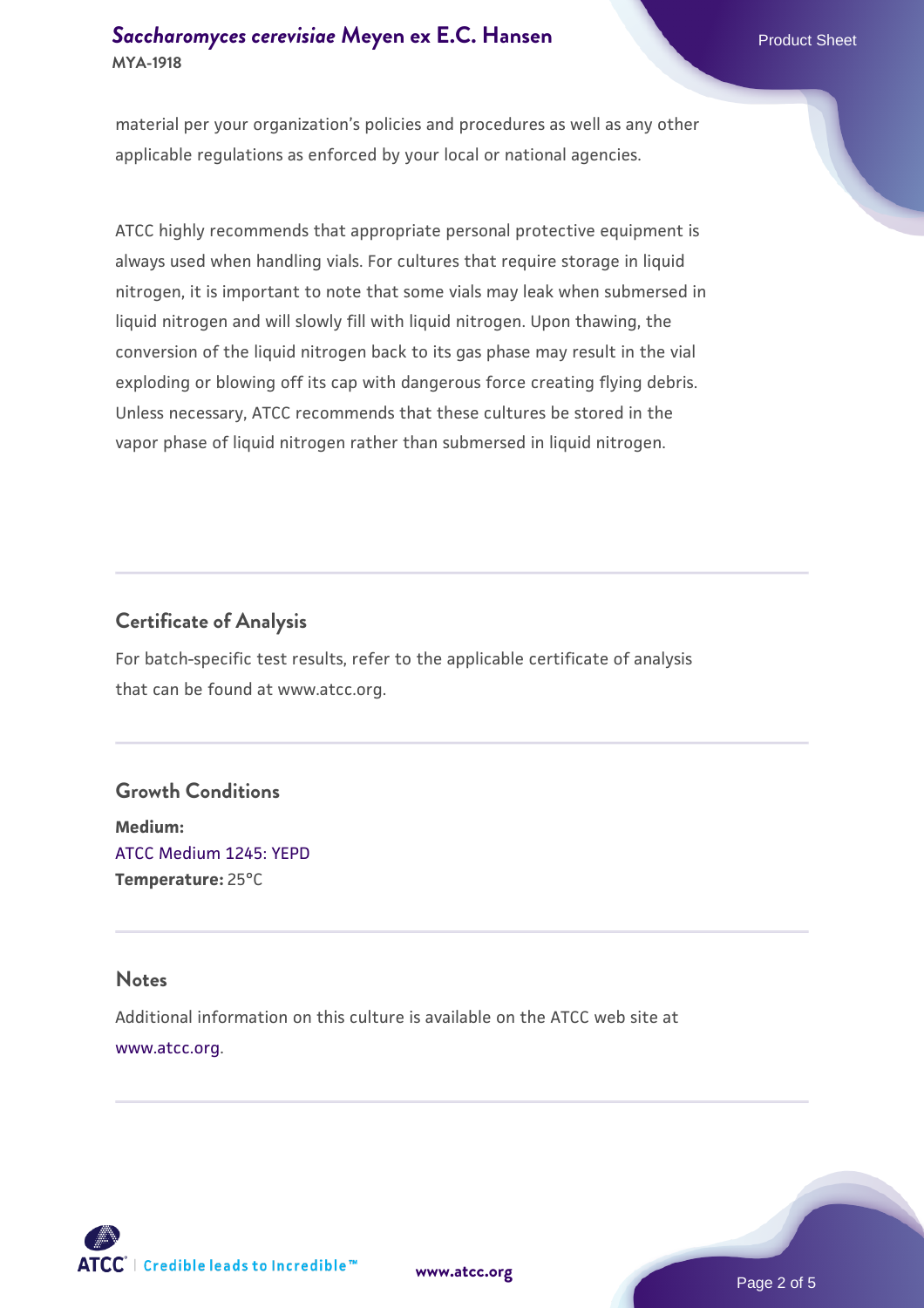material per your organization's policies and procedures as well as any other applicable regulations as enforced by your local or national agencies.

ATCC highly recommends that appropriate personal protective equipment is always used when handling vials. For cultures that require storage in liquid nitrogen, it is important to note that some vials may leak when submersed in liquid nitrogen and will slowly fill with liquid nitrogen. Upon thawing, the conversion of the liquid nitrogen back to its gas phase may result in the vial exploding or blowing off its cap with dangerous force creating flying debris. Unless necessary, ATCC recommends that these cultures be stored in the vapor phase of liquid nitrogen rather than submersed in liquid nitrogen.

## **Certificate of Analysis**

For batch-specific test results, refer to the applicable certificate of analysis that can be found at www.atcc.org.

## **Growth Conditions**

**Medium:**  [ATCC Medium 1245: YEPD](https://www.atcc.org/-/media/product-assets/documents/microbial-media-formulations/1/2/4/5/atcc-medium-1245.pdf?rev=705ca55d1b6f490a808a965d5c072196) **Temperature:** 25°C

#### **Notes**

Additional information on this culture is available on the ATCC web site at [www.atcc.org.](http://www.atcc.org/)



**[www.atcc.org](http://www.atcc.org)**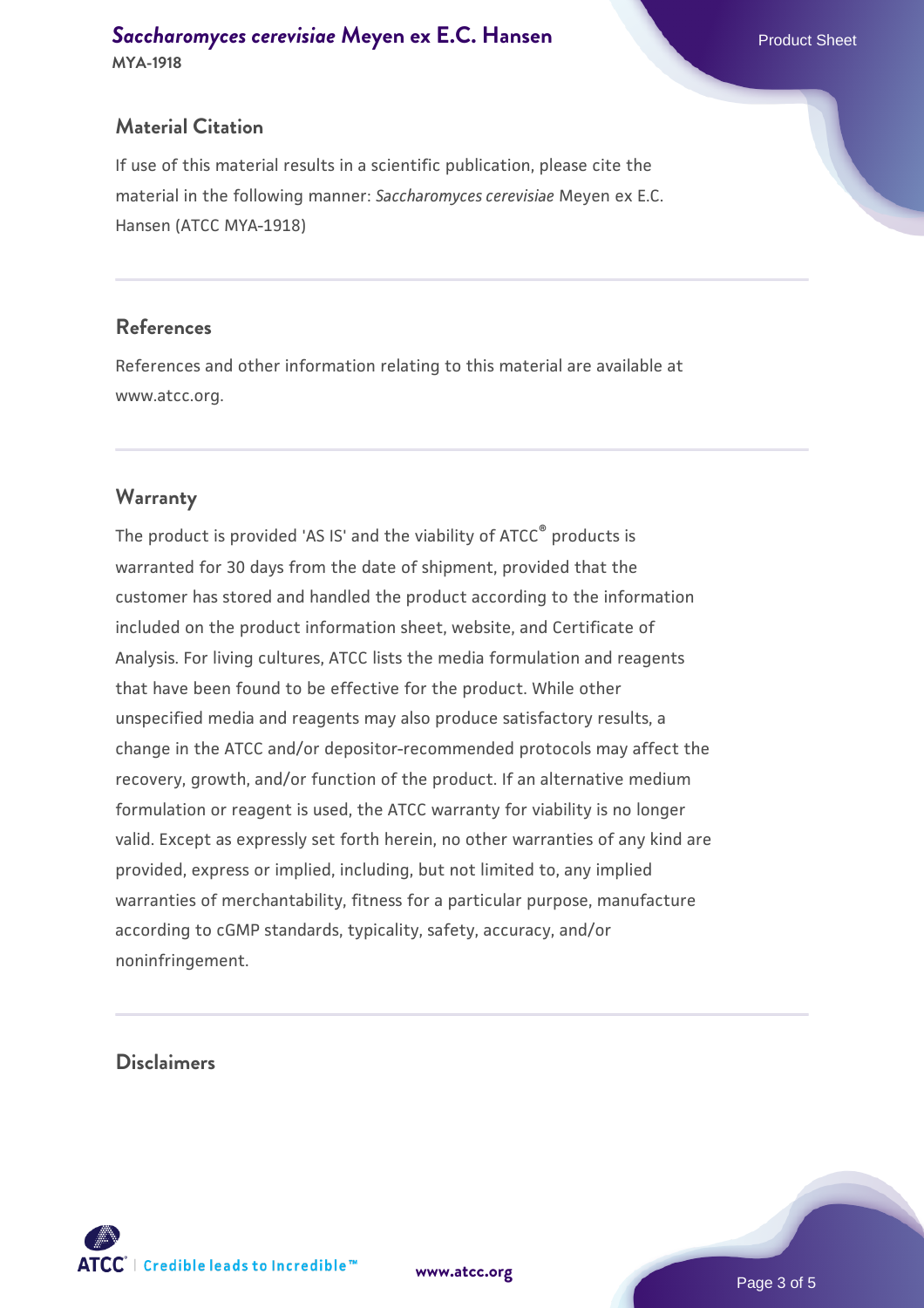## **Material Citation**

If use of this material results in a scientific publication, please cite the material in the following manner: *Saccharomyces cerevisiae* Meyen ex E.C. Hansen (ATCC MYA-1918)

#### **References**

References and other information relating to this material are available at www.atcc.org.

## **Warranty**

The product is provided 'AS IS' and the viability of ATCC® products is warranted for 30 days from the date of shipment, provided that the customer has stored and handled the product according to the information included on the product information sheet, website, and Certificate of Analysis. For living cultures, ATCC lists the media formulation and reagents that have been found to be effective for the product. While other unspecified media and reagents may also produce satisfactory results, a change in the ATCC and/or depositor-recommended protocols may affect the recovery, growth, and/or function of the product. If an alternative medium formulation or reagent is used, the ATCC warranty for viability is no longer valid. Except as expressly set forth herein, no other warranties of any kind are provided, express or implied, including, but not limited to, any implied warranties of merchantability, fitness for a particular purpose, manufacture according to cGMP standards, typicality, safety, accuracy, and/or noninfringement.

#### **Disclaimers**



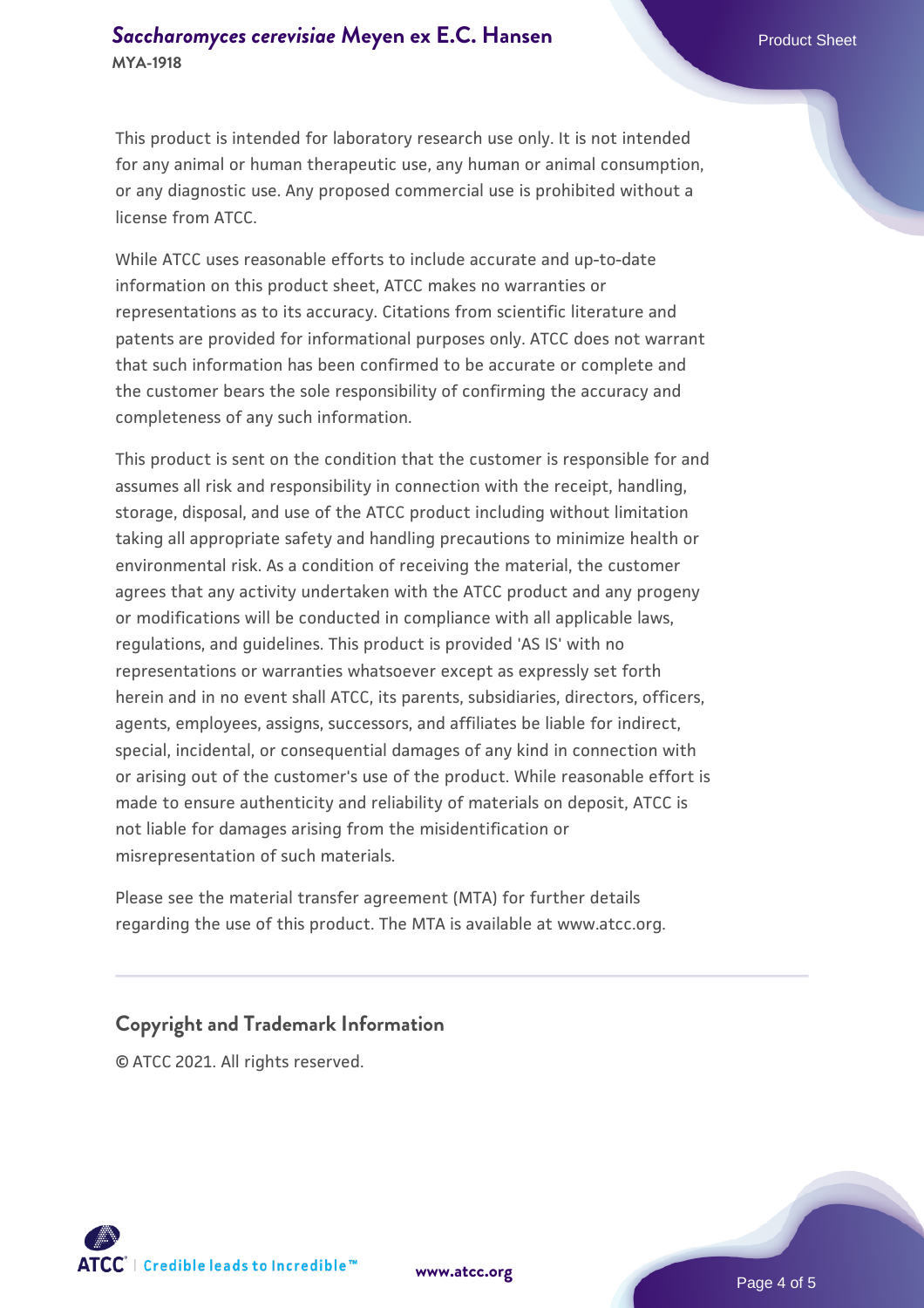This product is intended for laboratory research use only. It is not intended for any animal or human therapeutic use, any human or animal consumption, or any diagnostic use. Any proposed commercial use is prohibited without a license from ATCC.

While ATCC uses reasonable efforts to include accurate and up-to-date information on this product sheet, ATCC makes no warranties or representations as to its accuracy. Citations from scientific literature and patents are provided for informational purposes only. ATCC does not warrant that such information has been confirmed to be accurate or complete and the customer bears the sole responsibility of confirming the accuracy and completeness of any such information.

This product is sent on the condition that the customer is responsible for and assumes all risk and responsibility in connection with the receipt, handling, storage, disposal, and use of the ATCC product including without limitation taking all appropriate safety and handling precautions to minimize health or environmental risk. As a condition of receiving the material, the customer agrees that any activity undertaken with the ATCC product and any progeny or modifications will be conducted in compliance with all applicable laws, regulations, and guidelines. This product is provided 'AS IS' with no representations or warranties whatsoever except as expressly set forth herein and in no event shall ATCC, its parents, subsidiaries, directors, officers, agents, employees, assigns, successors, and affiliates be liable for indirect, special, incidental, or consequential damages of any kind in connection with or arising out of the customer's use of the product. While reasonable effort is made to ensure authenticity and reliability of materials on deposit, ATCC is not liable for damages arising from the misidentification or misrepresentation of such materials.

Please see the material transfer agreement (MTA) for further details regarding the use of this product. The MTA is available at www.atcc.org.

#### **Copyright and Trademark Information**

© ATCC 2021. All rights reserved.